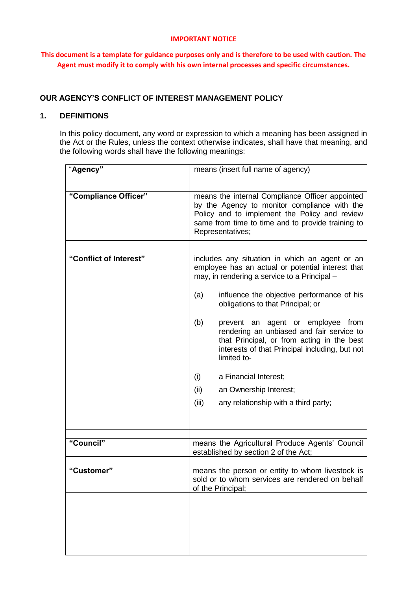#### **IMPORTANT NOTICE**

**This document is a template for guidance purposes only and is therefore to be used with caution. The Agent must modify it to comply with his own internal processes and specific circumstances.**

# **OUR AGENCY'S CONFLICT OF INTEREST MANAGEMENT POLICY**

# **1. DEFINITIONS**

In this policy document, any word or expression to which a meaning has been assigned in the Act or the Rules, unless the context otherwise indicates, shall have that meaning, and the following words shall have the following meanings:

| "Agency"               |                                                                                                                                                                                                                           | means (insert full name of agency)                                                                                                                                                            |
|------------------------|---------------------------------------------------------------------------------------------------------------------------------------------------------------------------------------------------------------------------|-----------------------------------------------------------------------------------------------------------------------------------------------------------------------------------------------|
|                        |                                                                                                                                                                                                                           |                                                                                                                                                                                               |
| "Compliance Officer"   | means the internal Compliance Officer appointed<br>by the Agency to monitor compliance with the<br>Policy and to implement the Policy and review<br>same from time to time and to provide training to<br>Representatives; |                                                                                                                                                                                               |
|                        |                                                                                                                                                                                                                           |                                                                                                                                                                                               |
| "Conflict of Interest" | includes any situation in which an agent or an<br>employee has an actual or potential interest that<br>may, in rendering a service to a Principal -                                                                       |                                                                                                                                                                                               |
|                        | (a)                                                                                                                                                                                                                       | influence the objective performance of his<br>obligations to that Principal; or                                                                                                               |
|                        | (b)                                                                                                                                                                                                                       | prevent an agent or employee from<br>rendering an unbiased and fair service to<br>that Principal, or from acting in the best<br>interests of that Principal including, but not<br>limited to- |
|                        | (i)                                                                                                                                                                                                                       | a Financial Interest;                                                                                                                                                                         |
|                        | (ii)                                                                                                                                                                                                                      | an Ownership Interest;                                                                                                                                                                        |
|                        | (iii)                                                                                                                                                                                                                     | any relationship with a third party;                                                                                                                                                          |
|                        |                                                                                                                                                                                                                           |                                                                                                                                                                                               |
|                        |                                                                                                                                                                                                                           |                                                                                                                                                                                               |
| "Council"              |                                                                                                                                                                                                                           | means the Agricultural Produce Agents' Council<br>established by section 2 of the Act;                                                                                                        |
|                        |                                                                                                                                                                                                                           |                                                                                                                                                                                               |
| "Customer"             | of the Principal;                                                                                                                                                                                                         | means the person or entity to whom livestock is<br>sold or to whom services are rendered on behalf                                                                                            |
|                        |                                                                                                                                                                                                                           |                                                                                                                                                                                               |
|                        |                                                                                                                                                                                                                           |                                                                                                                                                                                               |
|                        |                                                                                                                                                                                                                           |                                                                                                                                                                                               |
|                        |                                                                                                                                                                                                                           |                                                                                                                                                                                               |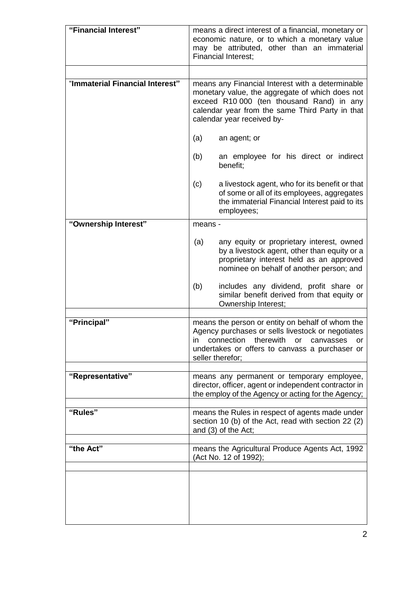| "Financial Interest"            | means a direct interest of a financial, monetary or<br>economic nature, or to which a monetary value<br>may be attributed, other than an immaterial<br><b>Financial Interest;</b>                                                 |                                                                                                                                                                                                                                 |
|---------------------------------|-----------------------------------------------------------------------------------------------------------------------------------------------------------------------------------------------------------------------------------|---------------------------------------------------------------------------------------------------------------------------------------------------------------------------------------------------------------------------------|
|                                 |                                                                                                                                                                                                                                   |                                                                                                                                                                                                                                 |
| "Immaterial Financial Interest" | means any Financial Interest with a determinable<br>monetary value, the aggregate of which does not<br>exceed R10 000 (ten thousand Rand) in any<br>calendar year from the same Third Party in that<br>calendar year received by- |                                                                                                                                                                                                                                 |
|                                 | (a)                                                                                                                                                                                                                               | an agent; or                                                                                                                                                                                                                    |
|                                 | (b)                                                                                                                                                                                                                               | an employee for his direct or indirect<br>benefit;                                                                                                                                                                              |
|                                 | (c)                                                                                                                                                                                                                               | a livestock agent, who for its benefit or that<br>of some or all of its employees, aggregates<br>the immaterial Financial Interest paid to its<br>employees;                                                                    |
| "Ownership Interest"            | means -                                                                                                                                                                                                                           |                                                                                                                                                                                                                                 |
|                                 | (a)                                                                                                                                                                                                                               | any equity or proprietary interest, owned<br>by a livestock agent, other than equity or a<br>proprietary interest held as an approved<br>nominee on behalf of another person; and                                               |
|                                 | (b)                                                                                                                                                                                                                               | includes any dividend, profit share or<br>similar benefit derived from that equity or<br>Ownership Interest;                                                                                                                    |
|                                 |                                                                                                                                                                                                                                   |                                                                                                                                                                                                                                 |
| "Principal"                     | ın                                                                                                                                                                                                                                | means the person or entity on behalf of whom the<br>Agency purchases or sells livestock or negotiates<br>therewith<br>connection<br>or<br>canvasses<br>or<br>undertakes or offers to canvass a purchaser or<br>seller therefor; |
| "Representative"                |                                                                                                                                                                                                                                   | means any permanent or temporary employee,                                                                                                                                                                                      |
|                                 |                                                                                                                                                                                                                                   | director, officer, agent or independent contractor in<br>the employ of the Agency or acting for the Agency;                                                                                                                     |
| "Rules"                         |                                                                                                                                                                                                                                   | means the Rules in respect of agents made under<br>section 10 (b) of the Act, read with section 22 (2)<br>and (3) of the Act;                                                                                                   |
| "the Act"                       |                                                                                                                                                                                                                                   | means the Agricultural Produce Agents Act, 1992<br>(Act No. 12 of 1992);                                                                                                                                                        |
|                                 |                                                                                                                                                                                                                                   |                                                                                                                                                                                                                                 |
|                                 |                                                                                                                                                                                                                                   |                                                                                                                                                                                                                                 |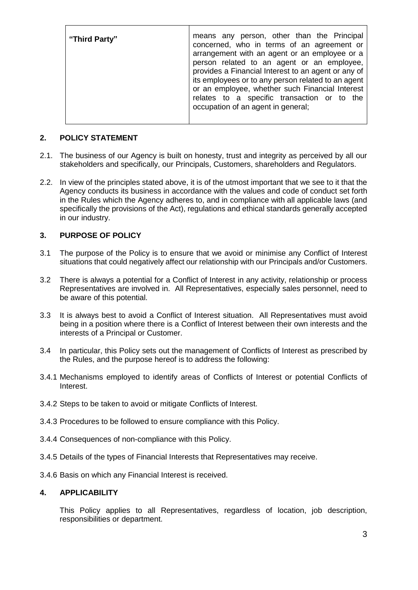| "Third Party" | means any person, other than the Principal<br>concerned, who in terms of an agreement or<br>arrangement with an agent or an employee or a<br>person related to an agent or an employee,<br>provides a Financial Interest to an agent or any of<br>its employees or to any person related to an agent<br>or an employee, whether such Financial Interest<br>relates to a specific transaction or to the<br>occupation of an agent in general; |
|---------------|----------------------------------------------------------------------------------------------------------------------------------------------------------------------------------------------------------------------------------------------------------------------------------------------------------------------------------------------------------------------------------------------------------------------------------------------|
|               |                                                                                                                                                                                                                                                                                                                                                                                                                                              |

# **2. POLICY STATEMENT**

- 2.1. The business of our Agency is built on honesty, trust and integrity as perceived by all our stakeholders and specifically, our Principals, Customers, shareholders and Regulators.
- 2.2. In view of the principles stated above, it is of the utmost important that we see to it that the Agency conducts its business in accordance with the values and code of conduct set forth in the Rules which the Agency adheres to, and in compliance with all applicable laws (and specifically the provisions of the Act), regulations and ethical standards generally accepted in our industry.

# **3. PURPOSE OF POLICY**

- 3.1 The purpose of the Policy is to ensure that we avoid or minimise any Conflict of Interest situations that could negatively affect our relationship with our Principals and/or Customers.
- 3.2 There is always a potential for a Conflict of Interest in any activity, relationship or process Representatives are involved in. All Representatives, especially sales personnel, need to be aware of this potential.
- 3.3 It is always best to avoid a Conflict of Interest situation. All Representatives must avoid being in a position where there is a Conflict of Interest between their own interests and the interests of a Principal or Customer.
- 3.4 In particular, this Policy sets out the management of Conflicts of Interest as prescribed by the Rules, and the purpose hereof is to address the following:
- 3.4.1 Mechanisms employed to identify areas of Conflicts of Interest or potential Conflicts of Interest.
- 3.4.2 Steps to be taken to avoid or mitigate Conflicts of Interest.
- 3.4.3 Procedures to be followed to ensure compliance with this Policy.
- 3.4.4 Consequences of non-compliance with this Policy.
- 3.4.5 Details of the types of Financial Interests that Representatives may receive.
- 3.4.6 Basis on which any Financial Interest is received.

## **4. APPLICABILITY**

This Policy applies to all Representatives, regardless of location, job description, responsibilities or department.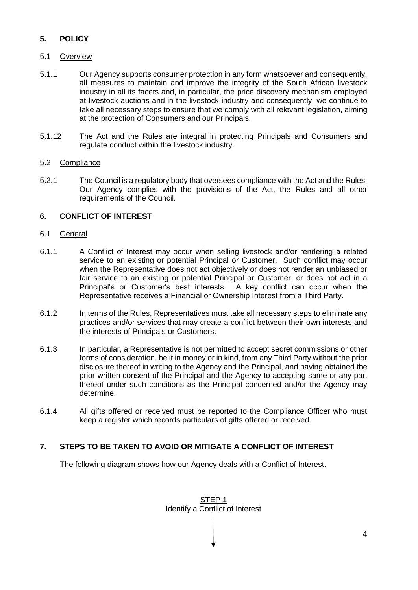# **5. POLICY**

# 5.1 Overview

- 5.1.1 Our Agency supports consumer protection in any form whatsoever and consequently, all measures to maintain and improve the integrity of the South African livestock industry in all its facets and, in particular, the price discovery mechanism employed at livestock auctions and in the livestock industry and consequently, we continue to take all necessary steps to ensure that we comply with all relevant legislation, aiming at the protection of Consumers and our Principals.
- 5.1.12 The Act and the Rules are integral in protecting Principals and Consumers and regulate conduct within the livestock industry.

## 5.2 Compliance

5.2.1 The Council is a regulatory body that oversees compliance with the Act and the Rules. Our Agency complies with the provisions of the Act, the Rules and all other requirements of the Council.

## **6. CONFLICT OF INTEREST**

## 6.1 General

- 6.1.1 A Conflict of Interest may occur when selling livestock and/or rendering a related service to an existing or potential Principal or Customer. Such conflict may occur when the Representative does not act objectively or does not render an unbiased or fair service to an existing or potential Principal or Customer, or does not act in a Principal's or Customer's best interests. A key conflict can occur when the Representative receives a Financial or Ownership Interest from a Third Party.
- 6.1.2 In terms of the Rules, Representatives must take all necessary steps to eliminate any practices and/or services that may create a conflict between their own interests and the interests of Principals or Customers.
- 6.1.3 In particular, a Representative is not permitted to accept secret commissions or other forms of consideration, be it in money or in kind, from any Third Party without the prior disclosure thereof in writing to the Agency and the Principal, and having obtained the prior written consent of the Principal and the Agency to accepting same or any part thereof under such conditions as the Principal concerned and/or the Agency may determine.
- 6.1.4 All gifts offered or received must be reported to the Compliance Officer who must keep a register which records particulars of gifts offered or received.

## **7. STEPS TO BE TAKEN TO AVOID OR MITIGATE A CONFLICT OF INTEREST**

The following diagram shows how our Agency deals with a Conflict of Interest.

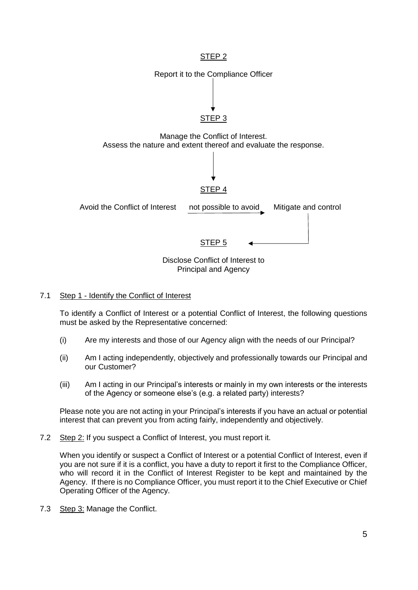

#### 7.1 Step 1 - Identify the Conflict of Interest

To identify a Conflict of Interest or a potential Conflict of Interest, the following questions must be asked by the Representative concerned:

- (i) Are my interests and those of our Agency align with the needs of our Principal?
- (ii) Am I acting independently, objectively and professionally towards our Principal and our Customer?
- (iii) Am I acting in our Principal's interests or mainly in my own interests or the interests of the Agency or someone else's (e.g. a related party) interests?

Please note you are not acting in your Principal's interests if you have an actual or potential interest that can prevent you from acting fairly, independently and objectively.

7.2 Step 2: If you suspect a Conflict of Interest, you must report it.

When you identify or suspect a Conflict of Interest or a potential Conflict of Interest, even if you are not sure if it is a conflict, you have a duty to report it first to the Compliance Officer, who will record it in the Conflict of Interest Register to be kept and maintained by the Agency. If there is no Compliance Officer, you must report it to the Chief Executive or Chief Operating Officer of the Agency.

7.3 Step 3: Manage the Conflict.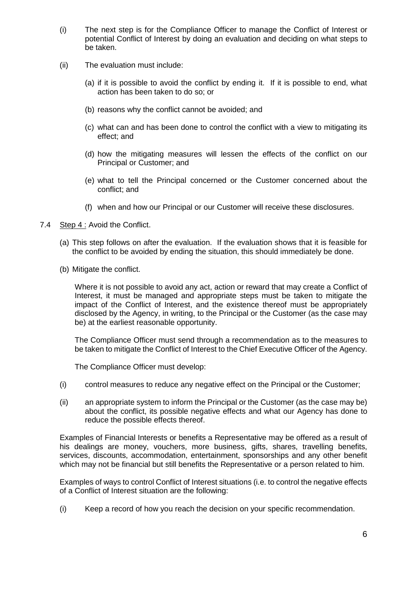- (i) The next step is for the Compliance Officer to manage the Conflict of Interest or potential Conflict of Interest by doing an evaluation and deciding on what steps to be taken.
- (ii) The evaluation must include:
	- (a) if it is possible to avoid the conflict by ending it. If it is possible to end, what action has been taken to do so; or
	- (b) reasons why the conflict cannot be avoided; and
	- (c) what can and has been done to control the conflict with a view to mitigating its effect; and
	- (d) how the mitigating measures will lessen the effects of the conflict on our Principal or Customer; and
	- (e) what to tell the Principal concerned or the Customer concerned about the conflict; and
	- (f) when and how our Principal or our Customer will receive these disclosures.
- 7.4 Step 4 : Avoid the Conflict.
	- (a) This step follows on after the evaluation. If the evaluation shows that it is feasible for the conflict to be avoided by ending the situation, this should immediately be done.
	- (b) Mitigate the conflict.

Where it is not possible to avoid any act, action or reward that may create a Conflict of Interest, it must be managed and appropriate steps must be taken to mitigate the impact of the Conflict of Interest, and the existence thereof must be appropriately disclosed by the Agency, in writing, to the Principal or the Customer (as the case may be) at the earliest reasonable opportunity.

The Compliance Officer must send through a recommendation as to the measures to be taken to mitigate the Conflict of Interest to the Chief Executive Officer of the Agency.

The Compliance Officer must develop:

- (i) control measures to reduce any negative effect on the Principal or the Customer;
- (ii) an appropriate system to inform the Principal or the Customer (as the case may be) about the conflict, its possible negative effects and what our Agency has done to reduce the possible effects thereof.

Examples of Financial Interests or benefits a Representative may be offered as a result of his dealings are money, vouchers, more business, gifts, shares, travelling benefits, services, discounts, accommodation, entertainment, sponsorships and any other benefit which may not be financial but still benefits the Representative or a person related to him.

Examples of ways to control Conflict of Interest situations (i.e. to control the negative effects of a Conflict of Interest situation are the following:

(i) Keep a record of how you reach the decision on your specific recommendation.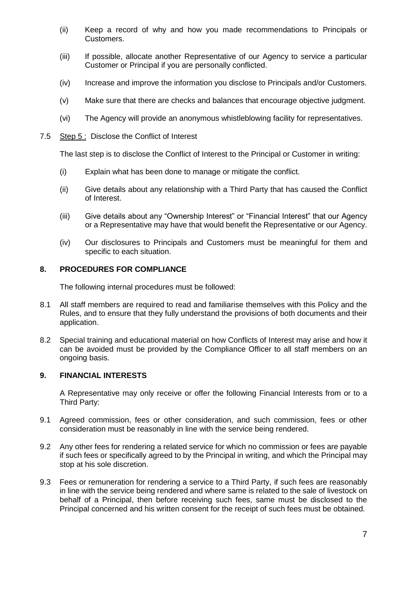- (ii) Keep a record of why and how you made recommendations to Principals or Customers.
- (iii) If possible, allocate another Representative of our Agency to service a particular Customer or Principal if you are personally conflicted.
- (iv) Increase and improve the information you disclose to Principals and/or Customers.
- (v) Make sure that there are checks and balances that encourage objective judgment.
- (vi) The Agency will provide an anonymous whistleblowing facility for representatives.
- 7.5 Step 5 : Disclose the Conflict of Interest

The last step is to disclose the Conflict of Interest to the Principal or Customer in writing:

- (i) Explain what has been done to manage or mitigate the conflict.
- (ii) Give details about any relationship with a Third Party that has caused the Conflict of Interest.
- (iii) Give details about any "Ownership Interest" or "Financial Interest" that our Agency or a Representative may have that would benefit the Representative or our Agency.
- (iv) Our disclosures to Principals and Customers must be meaningful for them and specific to each situation.

#### **8. PROCEDURES FOR COMPLIANCE**

The following internal procedures must be followed:

- 8.1 All staff members are required to read and familiarise themselves with this Policy and the Rules, and to ensure that they fully understand the provisions of both documents and their application.
- 8.2 Special training and educational material on how Conflicts of Interest may arise and how it can be avoided must be provided by the Compliance Officer to all staff members on an ongoing basis.

## **9. FINANCIAL INTERESTS**

A Representative may only receive or offer the following Financial Interests from or to a Third Party:

- 9.1 Agreed commission, fees or other consideration, and such commission, fees or other consideration must be reasonably in line with the service being rendered.
- 9.2 Any other fees for rendering a related service for which no commission or fees are payable if such fees or specifically agreed to by the Principal in writing, and which the Principal may stop at his sole discretion.
- 9.3 Fees or remuneration for rendering a service to a Third Party, if such fees are reasonably in line with the service being rendered and where same is related to the sale of livestock on behalf of a Principal, then before receiving such fees, same must be disclosed to the Principal concerned and his written consent for the receipt of such fees must be obtained.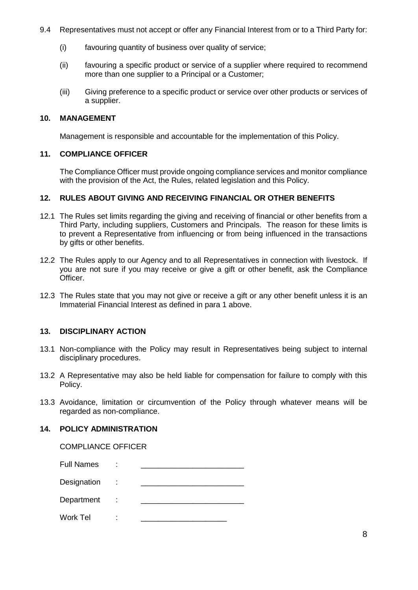- 9.4 Representatives must not accept or offer any Financial Interest from or to a Third Party for:
	- (i) favouring quantity of business over quality of service;
	- (ii) favouring a specific product or service of a supplier where required to recommend more than one supplier to a Principal or a Customer;
	- (iii) Giving preference to a specific product or service over other products or services of a supplier.

#### **10. MANAGEMENT**

Management is responsible and accountable for the implementation of this Policy.

## **11. COMPLIANCE OFFICER**

The Compliance Officer must provide ongoing compliance services and monitor compliance with the provision of the Act, the Rules, related legislation and this Policy.

#### **12. RULES ABOUT GIVING AND RECEIVING FINANCIAL OR OTHER BENEFITS**

- 12.1 The Rules set limits regarding the giving and receiving of financial or other benefits from a Third Party, including suppliers, Customers and Principals. The reason for these limits is to prevent a Representative from influencing or from being influenced in the transactions by gifts or other benefits.
- 12.2 The Rules apply to our Agency and to all Representatives in connection with livestock. If you are not sure if you may receive or give a gift or other benefit, ask the Compliance Officer.
- 12.3 The Rules state that you may not give or receive a gift or any other benefit unless it is an Immaterial Financial Interest as defined in para 1 above.

## **13. DISCIPLINARY ACTION**

- 13.1 Non-compliance with the Policy may result in Representatives being subject to internal disciplinary procedures.
- 13.2 A Representative may also be held liable for compensation for failure to comply with this Policy.
- 13.3 Avoidance, limitation or circumvention of the Policy through whatever means will be regarded as non-compliance.

## **14. POLICY ADMINISTRATION**

## COMPLIANCE OFFICER

| <b>Full Names</b> | ٠<br>$\blacksquare$ |  |
|-------------------|---------------------|--|
| Designation       | ÷                   |  |
| Department        | t                   |  |
| Work Tel          | ٠<br>٠              |  |